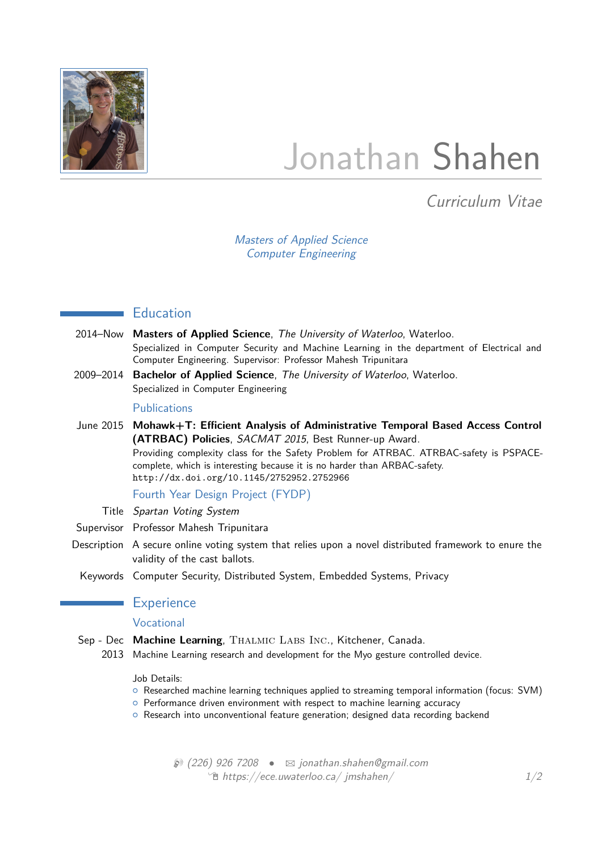

# Jonathan Shahen

Curriculum Vitae

Masters of Applied Science Computer Engineering

# **Education**

- 2014–Now **Masters of Applied Science**, The University of Waterloo, Waterloo. Specialized in Computer Security and Machine Learning in the department of Electrical and Computer Engineering. Supervisor: Professor Mahesh Tripunitara
- 2009–2014 **Bachelor of Applied Science**, The University of Waterloo, Waterloo. Specialized in Computer Engineering

#### **Publications**

June 2015 **Mohawk+T: Efficient Analysis of Administrative Temporal Based Access Control (ATRBAC) Policies**, SACMAT 2015, Best Runner-up Award. Providing complexity class for the Safety Problem for ATRBAC. ATRBAC-safety is PSPACEcomplete, which is interesting because it is no harder than ARBAC-safety. <http://dx.doi.org/10.1145/2752952.2752966>

Fourth Year Design Project (FYDP)

- Title Spartan Voting System
- Supervisor Professor Mahesh Tripunitara
- Description A secure online voting system that relies upon a novel distributed framework to enure the validity of the cast ballots.
- Keywords Computer Security, Distributed System, Embedded Systems, Privacy

## **Experience**

## Vocational

- Sep Dec Machine Learning, THALMIC LABS INC., Kitchener, Canada.
	- 2013 Machine Learning research and development for the Myo gesture controlled device.

#### Job Details:

- { Researched machine learning techniques applied to streaming temporal information (focus: SVM)
- **o** Performance driven environment with respect to machine learning accuracy
- $\circ$  Research into unconventional feature generation; designed data recording backend

 $\mathcal{D}$  (226) 926 7208 •  $\boxtimes$  [jonathan.shahen@gmail.com](mailto:jonathan.shahen@gmail.com)  $\sqrt{m}$  [https://ece.uwaterloo.ca/ jmshahen/](https://ece.uwaterloo.ca/~jmshahen/) 1[/2](#page-1-0)